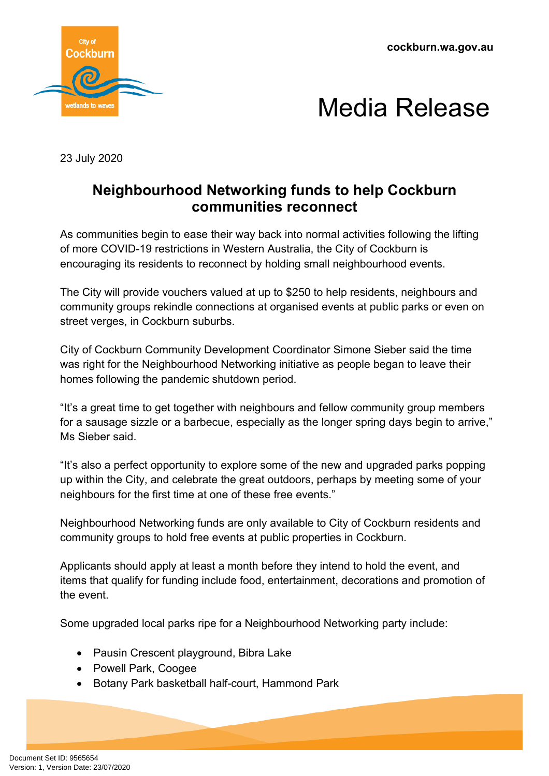**cockburn.wa.gov.au**





23 July 2020

## **Neighbourhood Networking funds to help Cockburn communities reconnect**

As communities begin to ease their way back into normal activities following the lifting of more COVID-19 restrictions in Western Australia, the City of Cockburn is encouraging its residents to reconnect by holding small neighbourhood events.

The City will provide vouchers valued at up to \$250 to help residents, neighbours and community groups rekindle connections at organised events at public parks or even on street verges, in Cockburn suburbs.

City of Cockburn Community Development Coordinator Simone Sieber said the time was right for the Neighbourhood Networking initiative as people began to leave their homes following the pandemic shutdown period.

"It's a great time to get together with neighbours and fellow community group members for a sausage sizzle or a barbecue, especially as the longer spring days begin to arrive," Ms Sieber said.

"It's also a perfect opportunity to explore some of the new and upgraded parks popping up within the City, and celebrate the great outdoors, perhaps by meeting some of your neighbours for the first time at one of these free events."

Neighbourhood Networking funds are only available to City of Cockburn residents and community groups to hold free events at public properties in Cockburn.

Applicants should apply at least a month before they intend to hold the event, and items that qualify for funding include food, entertainment, decorations and promotion of the event.

Some upgraded local parks ripe for a Neighbourhood Networking party include:

- Pausin Crescent playground, Bibra Lake
- Powell Park, Coogee
- Botany Park basketball half-court, Hammond Park